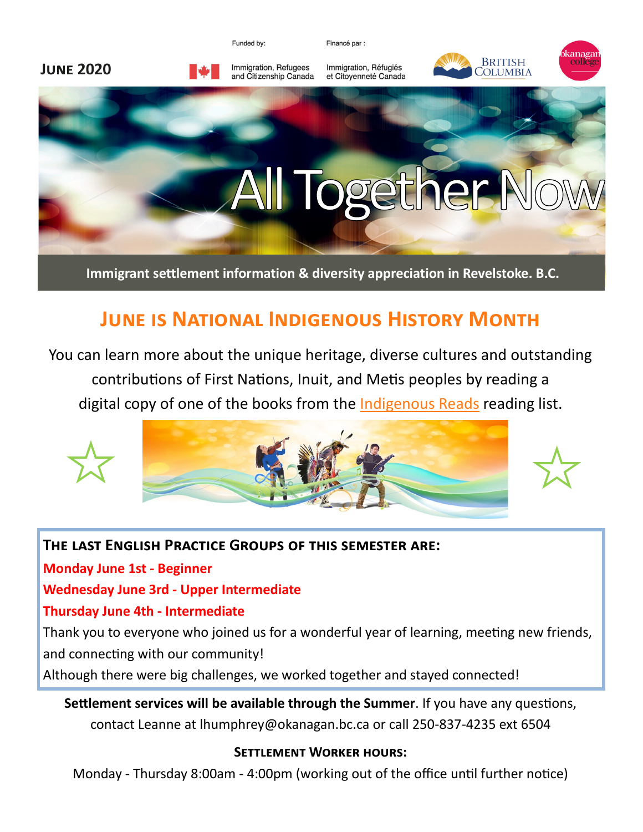

Financé par :



**Immigrant settlement information & diversity appreciation in Revelstoke. B.C.**

# **June is National Indigenous History Month**

You can learn more about the unique heritage, diverse cultures and outstanding contributions of First Nations, Inuit, and Metis peoples by reading a digital copy of one of the books from the [Indigenous Reads](https://www.rcaanc-cirnac.gc.ca/eng/1496255894592/1557840487211) reading list.



### **The last English Practice Groups of this semester are:**

**Monday June 1st - Beginner**

#### **Wednesday June 3rd - Upper Intermediate**

### **Thursday June 4th - Intermediate**

Thank you to everyone who joined us for a wonderful year of learning, meeting new friends, and connecting with our community!

Although there were big challenges, we worked together and stayed connected!

## **Settlement services will be available through the Summer**. If you have any questions, contact Leanne at lhumphrey@okanagan.bc.ca or call 250-837-4235 ext 6504

### **Settlement Worker hours:**

Monday - Thursday 8:00am - 4:00pm (working out of the office until further notice)